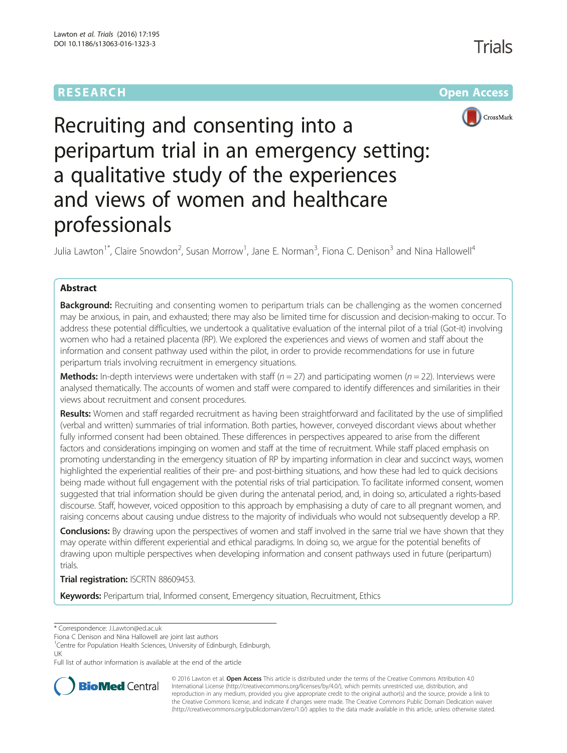# RESEARCH **RESEARCH CONSUMING THE CONSUMING THE CONSUMING THE CONSUMING TEAM Open Access**



# Recruiting and consenting into a peripartum trial in an emergency setting: a qualitative study of the experiences and views of women and healthcare professionals

Julia Lawton<sup>1\*</sup>, Claire Snowdon<sup>2</sup>, Susan Morrow<sup>1</sup>, Jane E. Norman<sup>3</sup>, Fiona C. Denison<sup>3</sup> and Nina Hallowell<sup>4</sup>

## Abstract

**Background:** Recruiting and consenting women to peripartum trials can be challenging as the women concerned may be anxious, in pain, and exhausted; there may also be limited time for discussion and decision-making to occur. To address these potential difficulties, we undertook a qualitative evaluation of the internal pilot of a trial (Got-it) involving women who had a retained placenta (RP). We explored the experiences and views of women and staff about the information and consent pathway used within the pilot, in order to provide recommendations for use in future peripartum trials involving recruitment in emergency situations.

**Methods:** In-depth interviews were undertaken with staff ( $n = 27$ ) and participating women ( $n = 22$ ). Interviews were analysed thematically. The accounts of women and staff were compared to identify differences and similarities in their views about recruitment and consent procedures.

Results: Women and staff regarded recruitment as having been straightforward and facilitated by the use of simplified (verbal and written) summaries of trial information. Both parties, however, conveyed discordant views about whether fully informed consent had been obtained. These differences in perspectives appeared to arise from the different factors and considerations impinging on women and staff at the time of recruitment. While staff placed emphasis on promoting understanding in the emergency situation of RP by imparting information in clear and succinct ways, women highlighted the experiential realities of their pre- and post-birthing situations, and how these had led to quick decisions being made without full engagement with the potential risks of trial participation. To facilitate informed consent, women suggested that trial information should be given during the antenatal period, and, in doing so, articulated a rights-based discourse. Staff, however, voiced opposition to this approach by emphasising a duty of care to all pregnant women, and raising concerns about causing undue distress to the majority of individuals who would not subsequently develop a RP.

Conclusions: By drawing upon the perspectives of women and staff involved in the same trial we have shown that they may operate within different experiential and ethical paradigms. In doing so, we argue for the potential benefits of drawing upon multiple perspectives when developing information and consent pathways used in future (peripartum) trials.

Trial registration: [ISCRTN 88609453](http://www.isrctn.com/ISRCTN88609453).

Keywords: Peripartum trial, Informed consent, Emergency situation, Recruitment, Ethics

\* Correspondence: [J.Lawton@ed.ac.uk](mailto:J.Lawton@ed.ac.uk)

<sup>1</sup> Centre for Population Health Sciences, University of Edinburgh, Edinburgh, UK

Full list of author information is available at the end of the article



© 2016 Lawton et al. Open Access This article is distributed under the terms of the Creative Commons Attribution 4.0 International License [\(http://creativecommons.org/licenses/by/4.0/](http://creativecommons.org/licenses/by/4.0/)), which permits unrestricted use, distribution, and reproduction in any medium, provided you give appropriate credit to the original author(s) and the source, provide a link to the Creative Commons license, and indicate if changes were made. The Creative Commons Public Domain Dedication waiver [\(http://creativecommons.org/publicdomain/zero/1.0/](http://creativecommons.org/publicdomain/zero/1.0/)) applies to the data made available in this article, unless otherwise stated.

Fiona C Denison and Nina Hallowell are joint last authors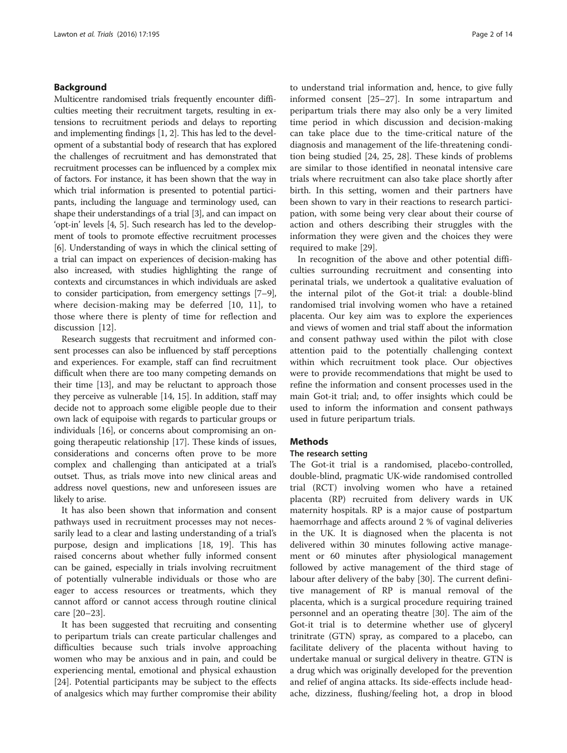## Background

Multicentre randomised trials frequently encounter difficulties meeting their recruitment targets, resulting in extensions to recruitment periods and delays to reporting and implementing findings [[1](#page-13-0), [2\]](#page-13-0). This has led to the development of a substantial body of research that has explored the challenges of recruitment and has demonstrated that recruitment processes can be influenced by a complex mix of factors. For instance, it has been shown that the way in which trial information is presented to potential participants, including the language and terminology used, can shape their understandings of a trial [\[3](#page-13-0)], and can impact on 'opt-in' levels [\[4](#page-13-0), [5](#page-13-0)]. Such research has led to the development of tools to promote effective recruitment processes [[6](#page-13-0)]. Understanding of ways in which the clinical setting of a trial can impact on experiences of decision-making has also increased, with studies highlighting the range of contexts and circumstances in which individuals are asked to consider participation, from emergency settings [\[7](#page-13-0)–[9](#page-13-0)], where decision-making may be deferred [\[10](#page-13-0), [11](#page-13-0)], to those where there is plenty of time for reflection and discussion [[12\]](#page-13-0).

Research suggests that recruitment and informed consent processes can also be influenced by staff perceptions and experiences. For example, staff can find recruitment difficult when there are too many competing demands on their time [\[13](#page-13-0)], and may be reluctant to approach those they perceive as vulnerable [[14](#page-13-0), [15\]](#page-13-0). In addition, staff may decide not to approach some eligible people due to their own lack of equipoise with regards to particular groups or individuals [\[16\]](#page-13-0), or concerns about compromising an ongoing therapeutic relationship [\[17\]](#page-13-0). These kinds of issues, considerations and concerns often prove to be more complex and challenging than anticipated at a trial's outset. Thus, as trials move into new clinical areas and address novel questions, new and unforeseen issues are likely to arise.

It has also been shown that information and consent pathways used in recruitment processes may not necessarily lead to a clear and lasting understanding of a trial's purpose, design and implications [\[18, 19](#page-13-0)]. This has raised concerns about whether fully informed consent can be gained, especially in trials involving recruitment of potentially vulnerable individuals or those who are eager to access resources or treatments, which they cannot afford or cannot access through routine clinical care [[20](#page-13-0)–[23](#page-13-0)].

It has been suggested that recruiting and consenting to peripartum trials can create particular challenges and difficulties because such trials involve approaching women who may be anxious and in pain, and could be experiencing mental, emotional and physical exhaustion [[24\]](#page-13-0). Potential participants may be subject to the effects of analgesics which may further compromise their ability

to understand trial information and, hence, to give fully informed consent [\[25](#page-13-0)–[27\]](#page-13-0). In some intrapartum and peripartum trials there may also only be a very limited time period in which discussion and decision-making can take place due to the time-critical nature of the diagnosis and management of the life-threatening condition being studied [\[24](#page-13-0), [25, 28](#page-13-0)]. These kinds of problems are similar to those identified in neonatal intensive care trials where recruitment can also take place shortly after birth. In this setting, women and their partners have been shown to vary in their reactions to research participation, with some being very clear about their course of action and others describing their struggles with the information they were given and the choices they were required to make [\[29](#page-13-0)].

In recognition of the above and other potential difficulties surrounding recruitment and consenting into perinatal trials, we undertook a qualitative evaluation of the internal pilot of the Got-it trial: a double-blind randomised trial involving women who have a retained placenta. Our key aim was to explore the experiences and views of women and trial staff about the information and consent pathway used within the pilot with close attention paid to the potentially challenging context within which recruitment took place. Our objectives were to provide recommendations that might be used to refine the information and consent processes used in the main Got-it trial; and, to offer insights which could be used to inform the information and consent pathways used in future peripartum trials.

## **Methods**

## The research setting

The Got-it trial is a randomised, placebo-controlled, double-blind, pragmatic UK-wide randomised controlled trial (RCT) involving women who have a retained placenta (RP) recruited from delivery wards in UK maternity hospitals. RP is a major cause of postpartum haemorrhage and affects around 2 % of vaginal deliveries in the UK. It is diagnosed when the placenta is not delivered within 30 minutes following active management or 60 minutes after physiological management followed by active management of the third stage of labour after delivery of the baby [[30\]](#page-13-0). The current definitive management of RP is manual removal of the placenta, which is a surgical procedure requiring trained personnel and an operating theatre [\[30](#page-13-0)]. The aim of the Got-it trial is to determine whether use of glyceryl trinitrate (GTN) spray, as compared to a placebo, can facilitate delivery of the placenta without having to undertake manual or surgical delivery in theatre. GTN is a drug which was originally developed for the prevention and relief of angina attacks. Its side-effects include headache, dizziness, flushing/feeling hot, a drop in blood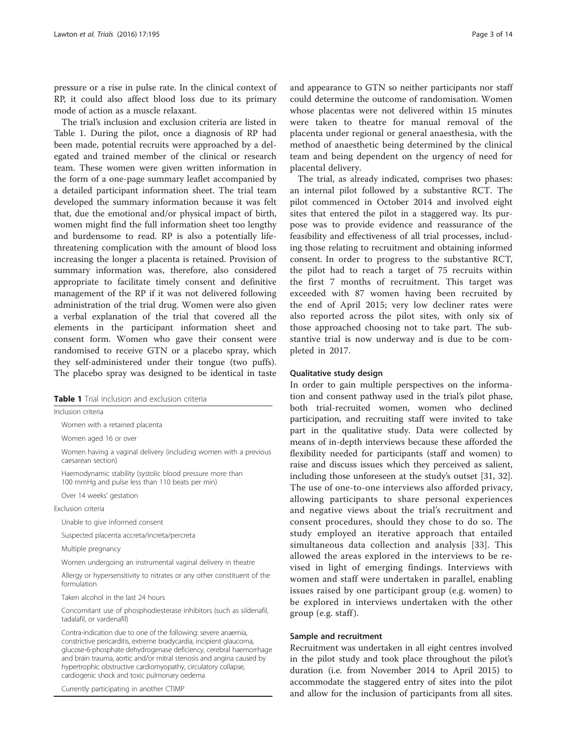pressure or a rise in pulse rate. In the clinical context of RP, it could also affect blood loss due to its primary mode of action as a muscle relaxant.

The trial's inclusion and exclusion criteria are listed in Table 1. During the pilot, once a diagnosis of RP had been made, potential recruits were approached by a delegated and trained member of the clinical or research team. These women were given written information in the form of a one-page summary leaflet accompanied by a detailed participant information sheet. The trial team developed the summary information because it was felt that, due the emotional and/or physical impact of birth, women might find the full information sheet too lengthy and burdensome to read. RP is also a potentially lifethreatening complication with the amount of blood loss increasing the longer a placenta is retained. Provision of summary information was, therefore, also considered appropriate to facilitate timely consent and definitive management of the RP if it was not delivered following administration of the trial drug. Women were also given a verbal explanation of the trial that covered all the elements in the participant information sheet and consent form. Women who gave their consent were randomised to receive GTN or a placebo spray, which they self-administered under their tongue (two puffs). The placebo spray was designed to be identical in taste

Table 1 Trial inclusion and exclusion criteria

Inclusion criteria

Women with a retained placenta

Women aged 16 or over

Women having a vaginal delivery (including women with a previous caesarean section)

Haemodynamic stability (systolic blood pressure more than 100 mmHg and pulse less than 110 beats per min)

Over 14 weeks' gestation

Exclusion criteria

Unable to give informed consent

Suspected placenta accreta/increta/percreta

Multiple pregnancy

Women undergoing an instrumental vaginal delivery in theatre

Allergy or hypersensitivity to nitrates or any other constituent of the formulation

Taken alcohol in the last 24 hours

Concomitant use of phosphodiesterase inhibitors (such as sildenafil, tadalafil, or vardenafil)

Contra-indication due to one of the following: severe anaemia, constrictive pericarditis, extreme bradycardia, incipient glaucoma, glucose-6-phosphate dehydrogenase deficiency, cerebral haemorrhage and brain trauma, aortic and/or mitral stenosis and angina caused by hypertrophic obstructive cardiomyopathy, circulatory collapse, cardiogenic shock and toxic pulmonary oedema

Currently participating in another CTIMP

and appearance to GTN so neither participants nor staff could determine the outcome of randomisation. Women whose placentas were not delivered within 15 minutes were taken to theatre for manual removal of the placenta under regional or general anaesthesia, with the method of anaesthetic being determined by the clinical team and being dependent on the urgency of need for placental delivery.

The trial, as already indicated, comprises two phases: an internal pilot followed by a substantive RCT. The pilot commenced in October 2014 and involved eight sites that entered the pilot in a staggered way. Its purpose was to provide evidence and reassurance of the feasibility and effectiveness of all trial processes, including those relating to recruitment and obtaining informed consent. In order to progress to the substantive RCT, the pilot had to reach a target of 75 recruits within the first 7 months of recruitment. This target was exceeded with 87 women having been recruited by the end of April 2015; very low decliner rates were also reported across the pilot sites, with only six of those approached choosing not to take part. The substantive trial is now underway and is due to be completed in 2017.

#### Qualitative study design

In order to gain multiple perspectives on the information and consent pathway used in the trial's pilot phase, both trial-recruited women, women who declined participation, and recruiting staff were invited to take part in the qualitative study. Data were collected by means of in-depth interviews because these afforded the flexibility needed for participants (staff and women) to raise and discuss issues which they perceived as salient, including those unforeseen at the study's outset [\[31, 32](#page-13-0)]. The use of one-to-one interviews also afforded privacy, allowing participants to share personal experiences and negative views about the trial's recruitment and consent procedures, should they chose to do so. The study employed an iterative approach that entailed simultaneous data collection and analysis [[33\]](#page-13-0). This allowed the areas explored in the interviews to be revised in light of emerging findings. Interviews with women and staff were undertaken in parallel, enabling issues raised by one participant group (e.g. women) to be explored in interviews undertaken with the other group (e.g. staff ).

## Sample and recruitment

Recruitment was undertaken in all eight centres involved in the pilot study and took place throughout the pilot's duration (i.e. from November 2014 to April 2015) to accommodate the staggered entry of sites into the pilot and allow for the inclusion of participants from all sites.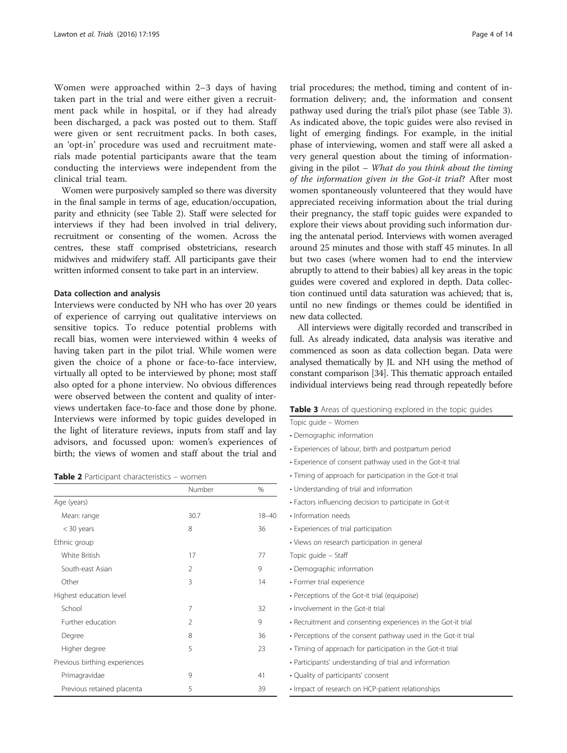<span id="page-3-0"></span>Women were approached within 2–3 days of having taken part in the trial and were either given a recruitment pack while in hospital, or if they had already been discharged, a pack was posted out to them. Staff were given or sent recruitment packs. In both cases, an 'opt-in' procedure was used and recruitment materials made potential participants aware that the team conducting the interviews were independent from the clinical trial team.

Women were purposively sampled so there was diversity in the final sample in terms of age, education/occupation, parity and ethnicity (see Table 2). Staff were selected for interviews if they had been involved in trial delivery, recruitment or consenting of the women. Across the centres, these staff comprised obstetricians, research midwives and midwifery staff. All participants gave their written informed consent to take part in an interview.

## Data collection and analysis

Interviews were conducted by NH who has over 20 years of experience of carrying out qualitative interviews on sensitive topics. To reduce potential problems with recall bias, women were interviewed within 4 weeks of having taken part in the pilot trial. While women were given the choice of a phone or face-to-face interview, virtually all opted to be interviewed by phone; most staff also opted for a phone interview. No obvious differences were observed between the content and quality of interviews undertaken face-to-face and those done by phone. Interviews were informed by topic guides developed in the light of literature reviews, inputs from staff and lay advisors, and focussed upon: women's experiences of birth; the views of women and staff about the trial and

Table 2 Participant characteristics - women

|                               | Number         | %         |
|-------------------------------|----------------|-----------|
| Age (years)                   |                |           |
| Mean: range                   | 30.7           | $18 - 40$ |
| $<$ 30 years                  | 8              | 36        |
| Ethnic group                  |                |           |
| White British                 | 17             | 77        |
| South-east Asian              | $\mathfrak{D}$ | 9         |
| Other                         | 3              | 14        |
| Highest education level       |                |           |
| School                        | 7              | 32        |
| Further education             | $\mathfrak{D}$ | 9         |
| Degree                        | 8              | 36        |
| Higher degree                 | 5              | 23        |
| Previous birthing experiences |                |           |
| Primagravidae                 | 9              | 41        |
| Previous retained placenta    | 5              | 39        |

trial procedures; the method, timing and content of information delivery; and, the information and consent pathway used during the trial's pilot phase (see Table 3). As indicated above, the topic guides were also revised in light of emerging findings. For example, in the initial phase of interviewing, women and staff were all asked a very general question about the timing of informationgiving in the pilot – What do you think about the timing of the information given in the Got-it trial? After most women spontaneously volunteered that they would have appreciated receiving information about the trial during their pregnancy, the staff topic guides were expanded to explore their views about providing such information during the antenatal period. Interviews with women averaged around 25 minutes and those with staff 45 minutes. In all but two cases (where women had to end the interview abruptly to attend to their babies) all key areas in the topic guides were covered and explored in depth. Data collection continued until data saturation was achieved; that is, until no new findings or themes could be identified in new data collected.

All interviews were digitally recorded and transcribed in full. As already indicated, data analysis was iterative and commenced as soon as data collection began. Data were analysed thematically by JL and NH using the method of constant comparison [\[34\]](#page-13-0). This thematic approach entailed individual interviews being read through repeatedly before

| Table 3 Areas of questioning explored in the topic guides |  |  |  |
|-----------------------------------------------------------|--|--|--|
|                                                           |  |  |  |

|                     |  | <b>I WINTER</b> IN CAS OF GACSHOTHING |  |
|---------------------|--|---------------------------------------|--|
| Topic quide – Women |  |                                       |  |

- Demographic information
- Experiences of labour, birth and postpartum period
- Experience of consent pathway used in the Got-it trial
- Timing of approach for participation in the Got-it trial
- Understanding of trial and information
- Factors influencing decision to participate in Got-it
- Information needs
- Experiences of trial participation
- Views on research participation in general
- Topic guide Staff
- Demographic information
- Former trial experience
- Perceptions of the Got-it trial (equipoise)
- Involvement in the Got-it trial
- Recruitment and consenting experiences in the Got-it trial
- Perceptions of the consent pathway used in the Got-it trial
- Timing of approach for participation in the Got-it trial
- Participants' understanding of trial and information
- Quality of participants' consent
- Impact of research on HCP-patient relationships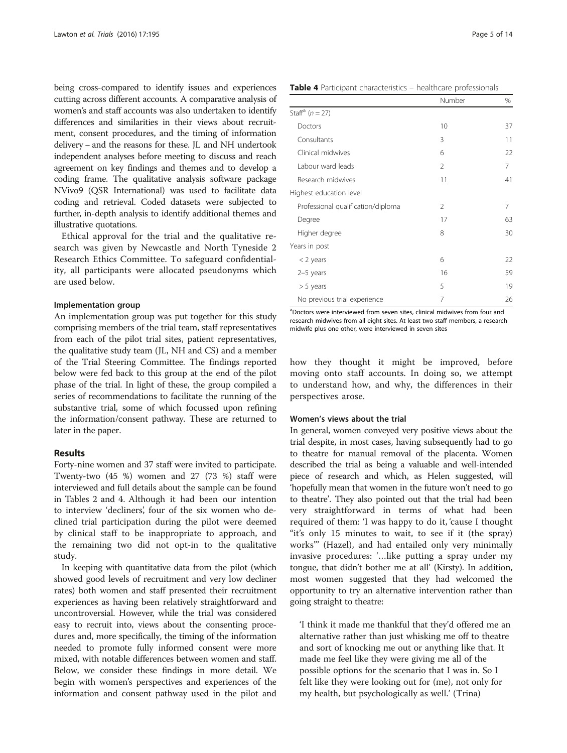being cross-compared to identify issues and experiences cutting across different accounts. A comparative analysis of women's and staff accounts was also undertaken to identify differences and similarities in their views about recruitment, consent procedures, and the timing of information delivery − and the reasons for these. JL and NH undertook independent analyses before meeting to discuss and reach agreement on key findings and themes and to develop a coding frame. The qualitative analysis software package NVivo9 (QSR International) was used to facilitate data coding and retrieval. Coded datasets were subjected to further, in-depth analysis to identify additional themes and illustrative quotations.

Ethical approval for the trial and the qualitative research was given by Newcastle and North Tyneside 2 Research Ethics Committee. To safeguard confidentiality, all participants were allocated pseudonyms which are used below.

## Implementation group

An implementation group was put together for this study comprising members of the trial team, staff representatives from each of the pilot trial sites, patient representatives, the qualitative study team (JL, NH and CS) and a member of the Trial Steering Committee. The findings reported below were fed back to this group at the end of the pilot phase of the trial. In light of these, the group compiled a series of recommendations to facilitate the running of the substantive trial, some of which focussed upon refining the information/consent pathway. These are returned to later in the paper.

## Results

Forty-nine women and 37 staff were invited to participate. Twenty-two (45 %) women and 27 (73 %) staff were interviewed and full details about the sample can be found in Tables [2](#page-3-0) and 4. Although it had been our intention to interview 'decliners', four of the six women who declined trial participation during the pilot were deemed by clinical staff to be inappropriate to approach, and the remaining two did not opt-in to the qualitative study.

In keeping with quantitative data from the pilot (which showed good levels of recruitment and very low decliner rates) both women and staff presented their recruitment experiences as having been relatively straightforward and uncontroversial. However, while the trial was considered easy to recruit into, views about the consenting procedures and, more specifically, the timing of the information needed to promote fully informed consent were more mixed, with notable differences between women and staff. Below, we consider these findings in more detail. We begin with women's perspectives and experiences of the information and consent pathway used in the pilot and

Table 4 Participant characteristics – healthcare professionals

|                                    | Number | %  |
|------------------------------------|--------|----|
| Staff <sup>a</sup> $(n = 27)$      |        |    |
| Doctors                            | 10     | 37 |
| Consultants                        | 3      | 11 |
| Clinical midwives                  | 6      | 22 |
| Labour ward leads                  | 2      | 7  |
| Research midwives                  | 11     | 41 |
| Highest education level            |        |    |
| Professional qualification/diploma | 2      | 7  |
| Degree                             | 17     | 63 |
| Higher degree                      | 8      | 30 |
| Years in post                      |        |    |
| $<$ 2 years                        | 6      | 22 |
| 2-5 years                          | 16     | 59 |
| $> 5$ years                        | 5      | 19 |
| No previous trial experience       | 7      | 26 |
|                                    |        |    |

<sup>a</sup>Doctors were interviewed from seven sites, clinical midwives from four and research midwives from all eight sites. At least two staff members, a research midwife plus one other, were interviewed in seven sites

how they thought it might be improved, before moving onto staff accounts. In doing so, we attempt to understand how, and why, the differences in their perspectives arose.

### Women's views about the trial

In general, women conveyed very positive views about the trial despite, in most cases, having subsequently had to go to theatre for manual removal of the placenta. Women described the trial as being a valuable and well-intended piece of research and which, as Helen suggested, will 'hopefully mean that women in the future won't need to go to theatre'. They also pointed out that the trial had been very straightforward in terms of what had been required of them: 'I was happy to do it, 'cause I thought "it's only 15 minutes to wait, to see if it (the spray) works"' (Hazel), and had entailed only very minimally invasive procedures: '…like putting a spray under my tongue, that didn't bother me at all' (Kirsty). In addition, most women suggested that they had welcomed the opportunity to try an alternative intervention rather than going straight to theatre:

'I think it made me thankful that they'd offered me an alternative rather than just whisking me off to theatre and sort of knocking me out or anything like that. It made me feel like they were giving me all of the possible options for the scenario that I was in. So I felt like they were looking out for (me), not only for my health, but psychologically as well.' (Trina)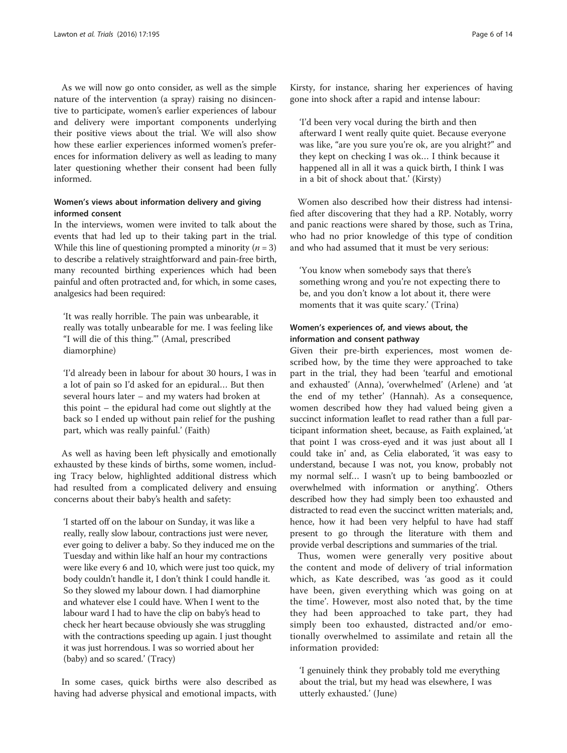As we will now go onto consider, as well as the simple nature of the intervention (a spray) raising no disincentive to participate, women's earlier experiences of labour and delivery were important components underlying their positive views about the trial. We will also show how these earlier experiences informed women's preferences for information delivery as well as leading to many later questioning whether their consent had been fully informed.

## Women's views about information delivery and giving informed consent

In the interviews, women were invited to talk about the events that had led up to their taking part in the trial. While this line of questioning prompted a minority  $(n = 3)$ to describe a relatively straightforward and pain-free birth, many recounted birthing experiences which had been painful and often protracted and, for which, in some cases, analgesics had been required:

'It was really horrible. The pain was unbearable, it really was totally unbearable for me. I was feeling like "I will die of this thing."' (Amal, prescribed diamorphine)

'I'd already been in labour for about 30 hours, I was in a lot of pain so I'd asked for an epidural… But then several hours later – and my waters had broken at this point – the epidural had come out slightly at the back so I ended up without pain relief for the pushing part, which was really painful.' (Faith)

As well as having been left physically and emotionally exhausted by these kinds of births, some women, including Tracy below, highlighted additional distress which had resulted from a complicated delivery and ensuing concerns about their baby's health and safety:

'I started off on the labour on Sunday, it was like a really, really slow labour, contractions just were never, ever going to deliver a baby. So they induced me on the Tuesday and within like half an hour my contractions were like every 6 and 10, which were just too quick, my body couldn't handle it, I don't think I could handle it. So they slowed my labour down. I had diamorphine and whatever else I could have. When I went to the labour ward I had to have the clip on baby's head to check her heart because obviously she was struggling with the contractions speeding up again. I just thought it was just horrendous. I was so worried about her (baby) and so scared.' (Tracy)

In some cases, quick births were also described as having had adverse physical and emotional impacts, with Kirsty, for instance, sharing her experiences of having gone into shock after a rapid and intense labour:

'I'd been very vocal during the birth and then afterward I went really quite quiet. Because everyone was like, "are you sure you're ok, are you alright?" and they kept on checking I was ok… I think because it happened all in all it was a quick birth, I think I was in a bit of shock about that.' (Kirsty)

Women also described how their distress had intensified after discovering that they had a RP. Notably, worry and panic reactions were shared by those, such as Trina, who had no prior knowledge of this type of condition and who had assumed that it must be very serious:

'You know when somebody says that there's something wrong and you're not expecting there to be, and you don't know a lot about it, there were moments that it was quite scary.' (Trina)

## Women's experiences of, and views about, the information and consent pathway

Given their pre-birth experiences, most women described how, by the time they were approached to take part in the trial, they had been 'tearful and emotional and exhausted' (Anna), 'overwhelmed' (Arlene) and 'at the end of my tether' (Hannah). As a consequence, women described how they had valued being given a succinct information leaflet to read rather than a full participant information sheet, because, as Faith explained, 'at that point I was cross-eyed and it was just about all I could take in' and, as Celia elaborated, 'it was easy to understand, because I was not, you know, probably not my normal self… I wasn't up to being bamboozled or overwhelmed with information or anything'. Others described how they had simply been too exhausted and distracted to read even the succinct written materials; and, hence, how it had been very helpful to have had staff present to go through the literature with them and provide verbal descriptions and summaries of the trial.

Thus, women were generally very positive about the content and mode of delivery of trial information which, as Kate described, was 'as good as it could have been, given everything which was going on at the time'. However, most also noted that, by the time they had been approached to take part, they had simply been too exhausted, distracted and/or emotionally overwhelmed to assimilate and retain all the information provided:

'I genuinely think they probably told me everything about the trial, but my head was elsewhere, I was utterly exhausted.' (June)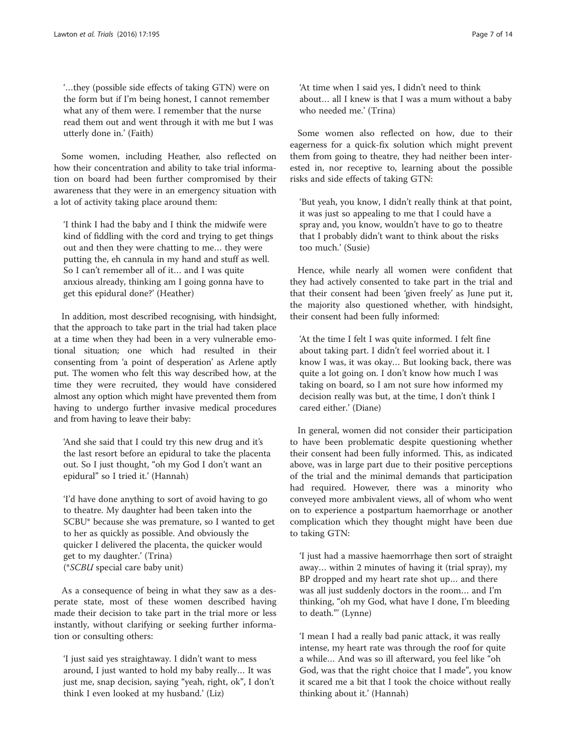'…they (possible side effects of taking GTN) were on the form but if I'm being honest, I cannot remember what any of them were. I remember that the nurse read them out and went through it with me but I was utterly done in.' (Faith)

Some women, including Heather, also reflected on how their concentration and ability to take trial information on board had been further compromised by their awareness that they were in an emergency situation with a lot of activity taking place around them:

'I think I had the baby and I think the midwife were kind of fiddling with the cord and trying to get things out and then they were chatting to me… they were putting the, eh cannula in my hand and stuff as well. So I can't remember all of it… and I was quite anxious already, thinking am I going gonna have to get this epidural done?' (Heather)

In addition, most described recognising, with hindsight, that the approach to take part in the trial had taken place at a time when they had been in a very vulnerable emotional situation; one which had resulted in their consenting from 'a point of desperation' as Arlene aptly put. The women who felt this way described how, at the time they were recruited, they would have considered almost any option which might have prevented them from having to undergo further invasive medical procedures and from having to leave their baby:

'And she said that I could try this new drug and it's the last resort before an epidural to take the placenta out. So I just thought, "oh my God I don't want an epidural" so I tried it.' (Hannah)

'I'd have done anything to sort of avoid having to go to theatre. My daughter had been taken into the SCBU\* because she was premature, so I wanted to get to her as quickly as possible. And obviously the quicker I delivered the placenta, the quicker would get to my daughter.' (Trina) (\*SCBU special care baby unit)

As a consequence of being in what they saw as a desperate state, most of these women described having made their decision to take part in the trial more or less instantly, without clarifying or seeking further information or consulting others:

'I just said yes straightaway. I didn't want to mess around, I just wanted to hold my baby really… It was just me, snap decision, saying "yeah, right, ok", I don't think I even looked at my husband.' (Liz)

'At time when I said yes, I didn't need to think about… all I knew is that I was a mum without a baby who needed me.' (Trina)

Some women also reflected on how, due to their eagerness for a quick-fix solution which might prevent them from going to theatre, they had neither been interested in, nor receptive to, learning about the possible risks and side effects of taking GTN:

'But yeah, you know, I didn't really think at that point, it was just so appealing to me that I could have a spray and, you know, wouldn't have to go to theatre that I probably didn't want to think about the risks too much.' (Susie)

Hence, while nearly all women were confident that they had actively consented to take part in the trial and that their consent had been 'given freely' as June put it, the majority also questioned whether, with hindsight, their consent had been fully informed:

'At the time I felt I was quite informed. I felt fine about taking part. I didn't feel worried about it. I know I was, it was okay… But looking back, there was quite a lot going on. I don't know how much I was taking on board, so I am not sure how informed my decision really was but, at the time, I don't think I cared either.' (Diane)

In general, women did not consider their participation to have been problematic despite questioning whether their consent had been fully informed. This, as indicated above, was in large part due to their positive perceptions of the trial and the minimal demands that participation had required. However, there was a minority who conveyed more ambivalent views, all of whom who went on to experience a postpartum haemorrhage or another complication which they thought might have been due to taking GTN:

'I just had a massive haemorrhage then sort of straight away… within 2 minutes of having it (trial spray), my BP dropped and my heart rate shot up… and there was all just suddenly doctors in the room… and I'm thinking, "oh my God, what have I done, I'm bleeding to death."' (Lynne)

'I mean I had a really bad panic attack, it was really intense, my heart rate was through the roof for quite a while… And was so ill afterward, you feel like "oh God, was that the right choice that I made", you know it scared me a bit that I took the choice without really thinking about it.' (Hannah)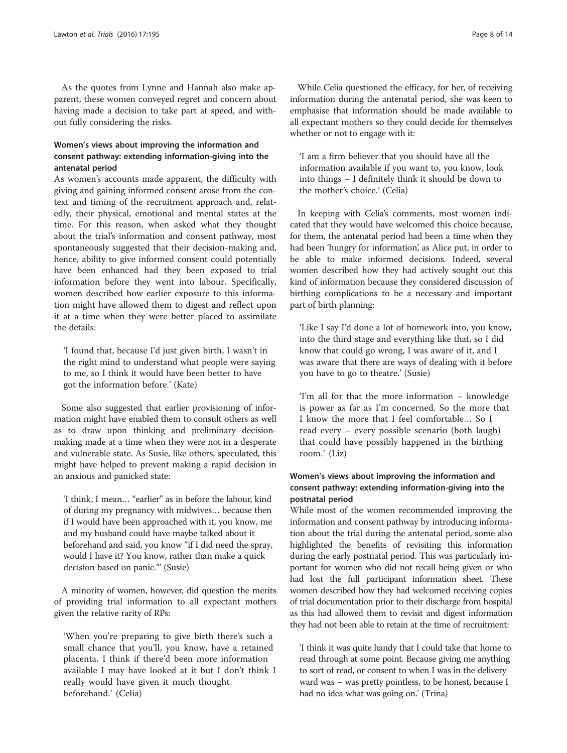As the quotes from Lynne and Hannah also make apparent, these women conveyed regret and concern about having made a decision to take part at speed, and without fully considering the risks.

## Women's views about improving the information and consent pathway: extending information-giving into the antenatal period

As women's accounts made apparent, the difficulty with giving and gaining informed consent arose from the context and timing of the recruitment approach and, relatedly, their physical, emotional and mental states at the time. For this reason, when asked what they thought about the trial's information and consent pathway, most spontaneously suggested that their decision-making and, hence, ability to give informed consent could potentially have been enhanced had they been exposed to trial information before they went into labour. Specifically, women described how earlier exposure to this information might have allowed them to digest and reflect upon it at a time when they were better placed to assimilate the details:

'I found that, because I'd just given birth, I wasn't in the right mind to understand what people were saying to me, so I think it would have been better to have got the information before.' (Kate)

Some also suggested that earlier provisioning of information might have enabled them to consult others as well as to draw upon thinking and preliminary decisionmaking made at a time when they were not in a desperate and vulnerable state. As Susie, like others, speculated, this might have helped to prevent making a rapid decision in an anxious and panicked state:

'I think, I mean… "earlier" as in before the labour, kind of during my pregnancy with midwives… because then if I would have been approached with it, you know, me and my husband could have maybe talked about it beforehand and said, you know "if I did need the spray, would I have it? You know, rather than make a quick decision based on panic."' (Susie)

A minority of women, however, did question the merits of providing trial information to all expectant mothers given the relative rarity of RPs:

'When you're preparing to give birth there's such a small chance that you'll, you know, have a retained placenta, I think if there'd been more information available I may have looked at it but I don't think I really would have given it much thought beforehand.' (Celia)

While Celia questioned the efficacy, for her, of receiving information during the antenatal period, she was keen to emphasise that information should be made available to all expectant mothers so they could decide for themselves whether or not to engage with it:

'I am a firm believer that you should have all the information available if you want to, you know, look into things – I definitely think it should be down to the mother's choice.' (Celia)

In keeping with Celia's comments, most women indicated that they would have welcomed this choice because, for them, the antenatal period had been a time when they had been 'hungry for information', as Alice put, in order to be able to make informed decisions. Indeed, several women described how they had actively sought out this kind of information because they considered discussion of birthing complications to be a necessary and important part of birth planning:

'Like I say I'd done a lot of homework into, you know, into the third stage and everything like that, so I did know that could go wrong, I was aware of it, and I was aware that there are ways of dealing with it before you have to go to theatre.' (Susie)

'I'm all for that the more information – knowledge is power as far as I'm concerned. So the more that I know the more that I feel comfortable… So I read every – every possible scenario (both laugh) that could have possibly happened in the birthing room.' (Liz)

## Women's views about improving the information and consent pathway: extending information-giving into the postnatal period

While most of the women recommended improving the information and consent pathway by introducing information about the trial during the antenatal period, some also highlighted the benefits of revisiting this information during the early postnatal period. This was particularly important for women who did not recall being given or who had lost the full participant information sheet. These women described how they had welcomed receiving copies of trial documentation prior to their discharge from hospital as this had allowed them to revisit and digest information they had not been able to retain at the time of recruitment:

'I think it was quite handy that I could take that home to read through at some point. Because giving me anything to sort of read, or consent to when I was in the delivery ward was – was pretty pointless, to be honest, because I had no idea what was going on.' (Trina)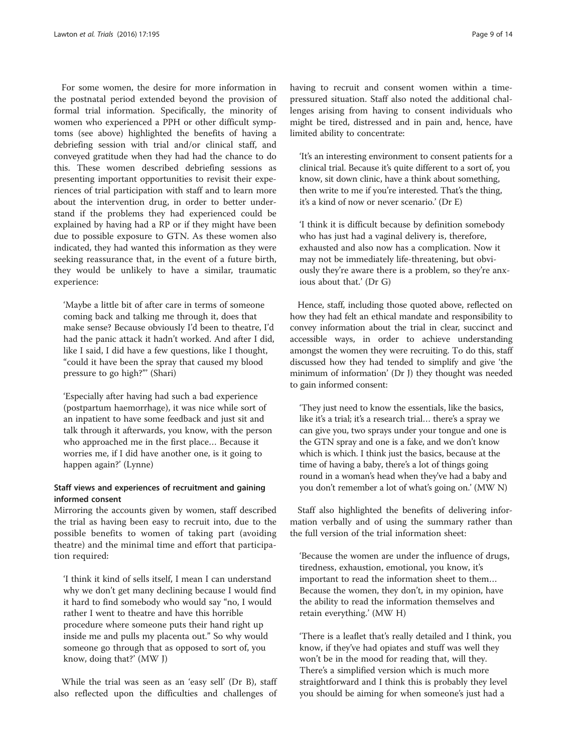For some women, the desire for more information in the postnatal period extended beyond the provision of formal trial information. Specifically, the minority of women who experienced a PPH or other difficult symptoms (see above) highlighted the benefits of having a debriefing session with trial and/or clinical staff, and conveyed gratitude when they had had the chance to do this. These women described debriefing sessions as presenting important opportunities to revisit their experiences of trial participation with staff and to learn more about the intervention drug, in order to better understand if the problems they had experienced could be explained by having had a RP or if they might have been due to possible exposure to GTN. As these women also indicated, they had wanted this information as they were seeking reassurance that, in the event of a future birth, they would be unlikely to have a similar, traumatic experience:

'Maybe a little bit of after care in terms of someone coming back and talking me through it, does that make sense? Because obviously I'd been to theatre, I'd had the panic attack it hadn't worked. And after I did, like I said, I did have a few questions, like I thought, "could it have been the spray that caused my blood pressure to go high?"' (Shari)

'Especially after having had such a bad experience (postpartum haemorrhage), it was nice while sort of an inpatient to have some feedback and just sit and talk through it afterwards, you know, with the person who approached me in the first place… Because it worries me, if I did have another one, is it going to happen again?' (Lynne)

## Staff views and experiences of recruitment and gaining informed consent

Mirroring the accounts given by women, staff described the trial as having been easy to recruit into, due to the possible benefits to women of taking part (avoiding theatre) and the minimal time and effort that participation required:

'I think it kind of sells itself, I mean I can understand why we don't get many declining because I would find it hard to find somebody who would say "no, I would rather I went to theatre and have this horrible procedure where someone puts their hand right up inside me and pulls my placenta out." So why would someone go through that as opposed to sort of, you know, doing that?' (MW J)

While the trial was seen as an 'easy sell' (Dr B), staff also reflected upon the difficulties and challenges of having to recruit and consent women within a timepressured situation. Staff also noted the additional challenges arising from having to consent individuals who might be tired, distressed and in pain and, hence, have limited ability to concentrate:

'It's an interesting environment to consent patients for a clinical trial. Because it's quite different to a sort of, you know, sit down clinic, have a think about something, then write to me if you're interested. That's the thing, it's a kind of now or never scenario.' (Dr E)

'I think it is difficult because by definition somebody who has just had a vaginal delivery is, therefore, exhausted and also now has a complication. Now it may not be immediately life-threatening, but obviously they're aware there is a problem, so they're anxious about that.' (Dr G)

Hence, staff, including those quoted above, reflected on how they had felt an ethical mandate and responsibility to convey information about the trial in clear, succinct and accessible ways, in order to achieve understanding amongst the women they were recruiting. To do this, staff discussed how they had tended to simplify and give 'the minimum of information' (Dr J) they thought was needed to gain informed consent:

'They just need to know the essentials, like the basics, like it's a trial; it's a research trial… there's a spray we can give you, two sprays under your tongue and one is the GTN spray and one is a fake, and we don't know which is which. I think just the basics, because at the time of having a baby, there's a lot of things going round in a woman's head when they've had a baby and you don't remember a lot of what's going on.' (MW N)

Staff also highlighted the benefits of delivering information verbally and of using the summary rather than the full version of the trial information sheet:

'Because the women are under the influence of drugs, tiredness, exhaustion, emotional, you know, it's important to read the information sheet to them… Because the women, they don't, in my opinion, have the ability to read the information themselves and retain everything.' (MW H)

'There is a leaflet that's really detailed and I think, you know, if they've had opiates and stuff was well they won't be in the mood for reading that, will they. There's a simplified version which is much more straightforward and I think this is probably they level you should be aiming for when someone's just had a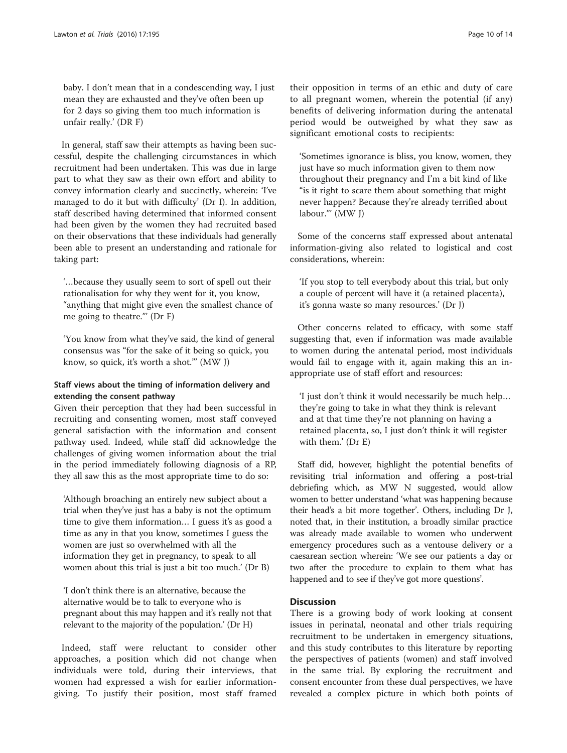baby. I don't mean that in a condescending way, I just mean they are exhausted and they've often been up for 2 days so giving them too much information is unfair really.' (DR F)

In general, staff saw their attempts as having been successful, despite the challenging circumstances in which recruitment had been undertaken. This was due in large part to what they saw as their own effort and ability to convey information clearly and succinctly, wherein: 'I've managed to do it but with difficulty' (Dr I). In addition, staff described having determined that informed consent had been given by the women they had recruited based on their observations that these individuals had generally been able to present an understanding and rationale for taking part:

'…because they usually seem to sort of spell out their rationalisation for why they went for it, you know, "anything that might give even the smallest chance of me going to theatre."' (Dr F)

'You know from what they've said, the kind of general consensus was "for the sake of it being so quick, you know, so quick, it's worth a shot."' (MW J)

## Staff views about the timing of information delivery and extending the consent pathway

Given their perception that they had been successful in recruiting and consenting women, most staff conveyed general satisfaction with the information and consent pathway used. Indeed, while staff did acknowledge the challenges of giving women information about the trial in the period immediately following diagnosis of a RP, they all saw this as the most appropriate time to do so:

'Although broaching an entirely new subject about a trial when they've just has a baby is not the optimum time to give them information… I guess it's as good a time as any in that you know, sometimes I guess the women are just so overwhelmed with all the information they get in pregnancy, to speak to all women about this trial is just a bit too much.' (Dr B)

'I don't think there is an alternative, because the alternative would be to talk to everyone who is pregnant about this may happen and it's really not that relevant to the majority of the population.' (Dr H)

Indeed, staff were reluctant to consider other approaches, a position which did not change when individuals were told, during their interviews, that women had expressed a wish for earlier informationgiving. To justify their position, most staff framed their opposition in terms of an ethic and duty of care to all pregnant women, wherein the potential (if any) benefits of delivering information during the antenatal period would be outweighed by what they saw as significant emotional costs to recipients:

'Sometimes ignorance is bliss, you know, women, they just have so much information given to them now throughout their pregnancy and I'm a bit kind of like "is it right to scare them about something that might never happen? Because they're already terrified about labour."' (MW J)

Some of the concerns staff expressed about antenatal information-giving also related to logistical and cost considerations, wherein:

'If you stop to tell everybody about this trial, but only a couple of percent will have it (a retained placenta), it's gonna waste so many resources.' (Dr J)

Other concerns related to efficacy, with some staff suggesting that, even if information was made available to women during the antenatal period, most individuals would fail to engage with it, again making this an inappropriate use of staff effort and resources:

'I just don't think it would necessarily be much help… they're going to take in what they think is relevant and at that time they're not planning on having a retained placenta, so, I just don't think it will register with them.' (Dr E)

Staff did, however, highlight the potential benefits of revisiting trial information and offering a post-trial debriefing which, as MW N suggested, would allow women to better understand 'what was happening because their head's a bit more together'. Others, including Dr J, noted that, in their institution, a broadly similar practice was already made available to women who underwent emergency procedures such as a ventouse delivery or a caesarean section wherein: 'We see our patients a day or two after the procedure to explain to them what has happened and to see if they've got more questions'.

## **Discussion**

There is a growing body of work looking at consent issues in perinatal, neonatal and other trials requiring recruitment to be undertaken in emergency situations, and this study contributes to this literature by reporting the perspectives of patients (women) and staff involved in the same trial. By exploring the recruitment and consent encounter from these dual perspectives, we have revealed a complex picture in which both points of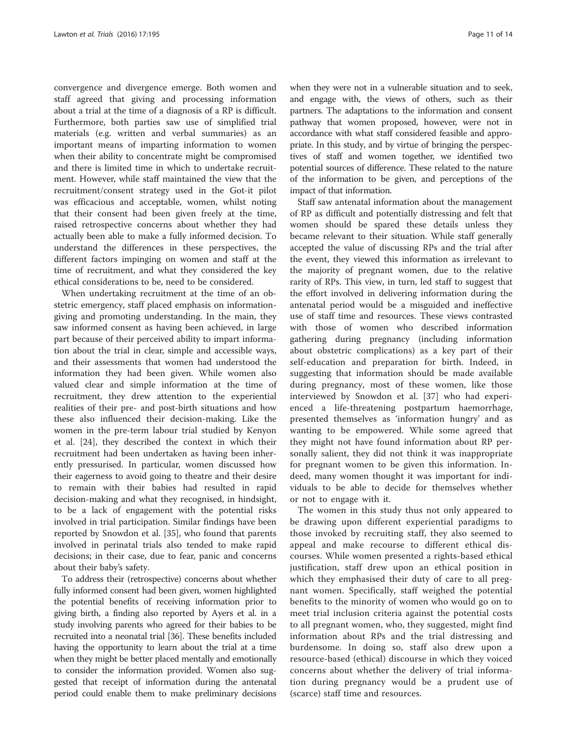convergence and divergence emerge. Both women and staff agreed that giving and processing information about a trial at the time of a diagnosis of a RP is difficult. Furthermore, both parties saw use of simplified trial materials (e.g. written and verbal summaries) as an important means of imparting information to women when their ability to concentrate might be compromised and there is limited time in which to undertake recruitment. However, while staff maintained the view that the recruitment/consent strategy used in the Got-it pilot was efficacious and acceptable, women, whilst noting that their consent had been given freely at the time, raised retrospective concerns about whether they had actually been able to make a fully informed decision. To understand the differences in these perspectives, the different factors impinging on women and staff at the time of recruitment, and what they considered the key ethical considerations to be, need to be considered.

When undertaking recruitment at the time of an obstetric emergency, staff placed emphasis on informationgiving and promoting understanding. In the main, they saw informed consent as having been achieved, in large part because of their perceived ability to impart information about the trial in clear, simple and accessible ways, and their assessments that women had understood the information they had been given. While women also valued clear and simple information at the time of recruitment, they drew attention to the experiential realities of their pre- and post-birth situations and how these also influenced their decision-making. Like the women in the pre-term labour trial studied by Kenyon et al. [\[24](#page-13-0)], they described the context in which their recruitment had been undertaken as having been inherently pressurised. In particular, women discussed how their eagerness to avoid going to theatre and their desire to remain with their babies had resulted in rapid decision-making and what they recognised, in hindsight, to be a lack of engagement with the potential risks involved in trial participation. Similar findings have been reported by Snowdon et al. [\[35\]](#page-13-0), who found that parents involved in perinatal trials also tended to make rapid decisions; in their case, due to fear, panic and concerns about their baby's safety.

To address their (retrospective) concerns about whether fully informed consent had been given, women highlighted the potential benefits of receiving information prior to giving birth, a finding also reported by Ayers et al. in a study involving parents who agreed for their babies to be recruited into a neonatal trial [\[36\]](#page-13-0). These benefits included having the opportunity to learn about the trial at a time when they might be better placed mentally and emotionally to consider the information provided. Women also suggested that receipt of information during the antenatal period could enable them to make preliminary decisions

when they were not in a vulnerable situation and to seek, and engage with, the views of others, such as their partners. The adaptations to the information and consent pathway that women proposed, however, were not in accordance with what staff considered feasible and appropriate. In this study, and by virtue of bringing the perspectives of staff and women together, we identified two potential sources of difference. These related to the nature of the information to be given, and perceptions of the impact of that information.

Staff saw antenatal information about the management of RP as difficult and potentially distressing and felt that women should be spared these details unless they became relevant to their situation. While staff generally accepted the value of discussing RPs and the trial after the event, they viewed this information as irrelevant to the majority of pregnant women, due to the relative rarity of RPs. This view, in turn, led staff to suggest that the effort involved in delivering information during the antenatal period would be a misguided and ineffective use of staff time and resources. These views contrasted with those of women who described information gathering during pregnancy (including information about obstetric complications) as a key part of their self-education and preparation for birth. Indeed, in suggesting that information should be made available during pregnancy, most of these women, like those interviewed by Snowdon et al. [[37\]](#page-13-0) who had experienced a life-threatening postpartum haemorrhage, presented themselves as 'information hungry' and as wanting to be empowered. While some agreed that they might not have found information about RP personally salient, they did not think it was inappropriate for pregnant women to be given this information. Indeed, many women thought it was important for individuals to be able to decide for themselves whether or not to engage with it.

The women in this study thus not only appeared to be drawing upon different experiential paradigms to those invoked by recruiting staff, they also seemed to appeal and make recourse to different ethical discourses. While women presented a rights-based ethical justification, staff drew upon an ethical position in which they emphasised their duty of care to all pregnant women. Specifically, staff weighed the potential benefits to the minority of women who would go on to meet trial inclusion criteria against the potential costs to all pregnant women, who, they suggested, might find information about RPs and the trial distressing and burdensome. In doing so, staff also drew upon a resource-based (ethical) discourse in which they voiced concerns about whether the delivery of trial information during pregnancy would be a prudent use of (scarce) staff time and resources.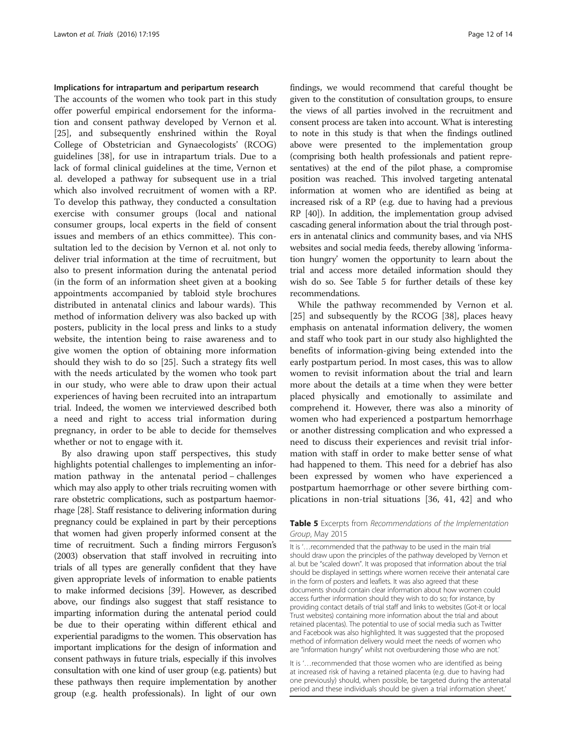#### Implications for intrapartum and peripartum research

The accounts of the women who took part in this study offer powerful empirical endorsement for the information and consent pathway developed by Vernon et al. [[25\]](#page-13-0), and subsequently enshrined within the Royal College of Obstetrician and Gynaecologists' (RCOG) guidelines [\[38](#page-13-0)], for use in intrapartum trials. Due to a lack of formal clinical guidelines at the time, Vernon et al. developed a pathway for subsequent use in a trial which also involved recruitment of women with a RP. To develop this pathway, they conducted a consultation exercise with consumer groups (local and national consumer groups, local experts in the field of consent issues and members of an ethics committee). This consultation led to the decision by Vernon et al. not only to deliver trial information at the time of recruitment, but also to present information during the antenatal period (in the form of an information sheet given at a booking appointments accompanied by tabloid style brochures distributed in antenatal clinics and labour wards). This method of information delivery was also backed up with posters, publicity in the local press and links to a study website, the intention being to raise awareness and to give women the option of obtaining more information should they wish to do so [\[25](#page-13-0)]. Such a strategy fits well with the needs articulated by the women who took part in our study, who were able to draw upon their actual experiences of having been recruited into an intrapartum trial. Indeed, the women we interviewed described both a need and right to access trial information during pregnancy, in order to be able to decide for themselves whether or not to engage with it.

By also drawing upon staff perspectives, this study highlights potential challenges to implementing an information pathway in the antenatal period − challenges which may also apply to other trials recruiting women with rare obstetric complications, such as postpartum haemorrhage [\[28\]](#page-13-0). Staff resistance to delivering information during pregnancy could be explained in part by their perceptions that women had given properly informed consent at the time of recruitment. Such a finding mirrors Ferguson's (2003) observation that staff involved in recruiting into trials of all types are generally confident that they have given appropriate levels of information to enable patients to make informed decisions [[39](#page-13-0)]. However, as described above, our findings also suggest that staff resistance to imparting information during the antenatal period could be due to their operating within different ethical and experiential paradigms to the women. This observation has important implications for the design of information and consent pathways in future trials, especially if this involves consultation with one kind of user group (e.g. patients) but these pathways then require implementation by another group (e.g. health professionals). In light of our own findings, we would recommend that careful thought be given to the constitution of consultation groups, to ensure the views of all parties involved in the recruitment and consent process are taken into account. What is interesting to note in this study is that when the findings outlined above were presented to the implementation group (comprising both health professionals and patient representatives) at the end of the pilot phase, a compromise position was reached. This involved targeting antenatal information at women who are identified as being at increased risk of a RP (e.g. due to having had a previous RP [[40\]](#page-13-0)). In addition, the implementation group advised cascading general information about the trial through posters in antenatal clinics and community bases, and via NHS websites and social media feeds, thereby allowing 'information hungry' women the opportunity to learn about the trial and access more detailed information should they wish do so. See Table 5 for further details of these key recommendations.

While the pathway recommended by Vernon et al. [[25\]](#page-13-0) and subsequently by the RCOG [\[38](#page-13-0)], places heavy emphasis on antenatal information delivery, the women and staff who took part in our study also highlighted the benefits of information-giving being extended into the early postpartum period. In most cases, this was to allow women to revisit information about the trial and learn more about the details at a time when they were better placed physically and emotionally to assimilate and comprehend it. However, there was also a minority of women who had experienced a postpartum hemorrhage or another distressing complication and who expressed a need to discuss their experiences and revisit trial information with staff in order to make better sense of what had happened to them. This need for a debrief has also been expressed by women who have experienced a postpartum haemorrhage or other severe birthing complications in non-trial situations [[36, 41](#page-13-0), [42](#page-13-0)] and who

## Table 5 Excerpts from Recommendations of the Implementation Group, May 2015

It is '…recommended that the pathway to be used in the main trial should draw upon the principles of the pathway developed by Vernon et al. but be "scaled down". It was proposed that information about the trial should be displayed in settings where women receive their antenatal care in the form of posters and leaflets. It was also agreed that these documents should contain clear information about how women could access further information should they wish to do so; for instance, by providing contact details of trial staff and links to websites (Got-it or local Trust websites) containing more information about the trial and about retained placentas). The potential to use of social media such as Twitter and Facebook was also highlighted. It was suggested that the proposed method of information delivery would meet the needs of women who are "information hungry" whilst not overburdening those who are not.'

It is '…recommended that those women who are identified as being at increased risk of having a retained placenta (e.g. due to having had one previously) should, when possible, be targeted during the antenatal period and these individuals should be given a trial information sheet.'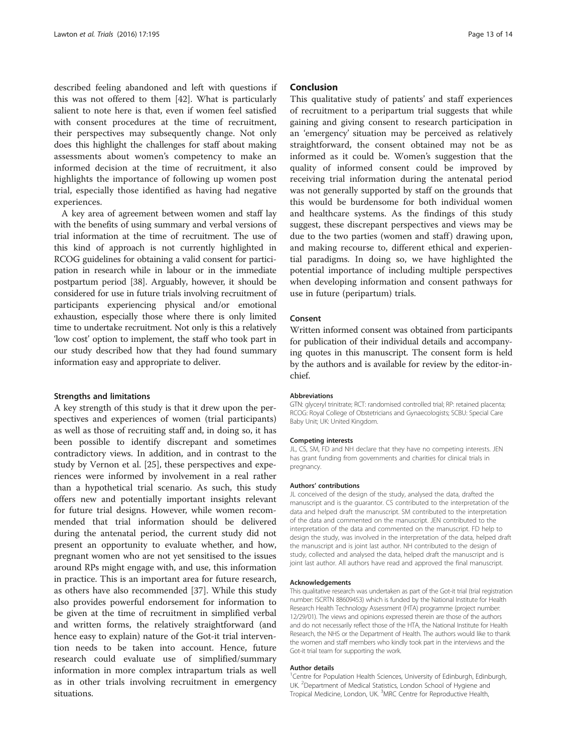described feeling abandoned and left with questions if this was not offered to them [\[42\]](#page-13-0). What is particularly salient to note here is that, even if women feel satisfied with consent procedures at the time of recruitment, their perspectives may subsequently change. Not only does this highlight the challenges for staff about making assessments about women's competency to make an informed decision at the time of recruitment, it also highlights the importance of following up women post trial, especially those identified as having had negative experiences.

A key area of agreement between women and staff lay with the benefits of using summary and verbal versions of trial information at the time of recruitment. The use of this kind of approach is not currently highlighted in RCOG guidelines for obtaining a valid consent for participation in research while in labour or in the immediate postpartum period [\[38\]](#page-13-0). Arguably, however, it should be considered for use in future trials involving recruitment of participants experiencing physical and/or emotional exhaustion, especially those where there is only limited time to undertake recruitment. Not only is this a relatively 'low cost' option to implement, the staff who took part in our study described how that they had found summary information easy and appropriate to deliver.

## Strengths and limitations

A key strength of this study is that it drew upon the perspectives and experiences of women (trial participants) as well as those of recruiting staff and, in doing so, it has been possible to identify discrepant and sometimes contradictory views. In addition, and in contrast to the study by Vernon et al. [[25](#page-13-0)], these perspectives and experiences were informed by involvement in a real rather than a hypothetical trial scenario. As such, this study offers new and potentially important insights relevant for future trial designs. However, while women recommended that trial information should be delivered during the antenatal period, the current study did not present an opportunity to evaluate whether, and how, pregnant women who are not yet sensitised to the issues around RPs might engage with, and use, this information in practice. This is an important area for future research, as others have also recommended [[37\]](#page-13-0). While this study also provides powerful endorsement for information to be given at the time of recruitment in simplified verbal and written forms, the relatively straightforward (and hence easy to explain) nature of the Got-it trial intervention needs to be taken into account. Hence, future research could evaluate use of simplified/summary information in more complex intrapartum trials as well as in other trials involving recruitment in emergency situations.

## Conclusion

This qualitative study of patients' and staff experiences of recruitment to a peripartum trial suggests that while gaining and giving consent to research participation in an 'emergency' situation may be perceived as relatively straightforward, the consent obtained may not be as informed as it could be. Women's suggestion that the quality of informed consent could be improved by receiving trial information during the antenatal period was not generally supported by staff on the grounds that this would be burdensome for both individual women and healthcare systems. As the findings of this study suggest, these discrepant perspectives and views may be due to the two parties (women and staff) drawing upon, and making recourse to, different ethical and experiential paradigms. In doing so, we have highlighted the potential importance of including multiple perspectives when developing information and consent pathways for use in future (peripartum) trials.

## Consent

Written informed consent was obtained from participants for publication of their individual details and accompanying quotes in this manuscript. The consent form is held by the authors and is available for review by the editor-inchief.

#### Abbreviations

GTN: glyceryl trinitrate; RCT: randomised controlled trial; RP: retained placenta; RCOG: Royal College of Obstetricians and Gynaecologists; SCBU: Special Care Baby Unit; UK: United Kingdom.

#### Competing interests

JL, CS, SM, FD and NH declare that they have no competing interests. JEN has grant funding from governments and charities for clinical trials in pregnancy.

#### Authors' contributions

JL conceived of the design of the study, analysed the data, drafted the manuscript and is the guarantor. CS contributed to the interpretation of the data and helped draft the manuscript. SM contributed to the interpretation of the data and commented on the manuscript. JEN contributed to the interpretation of the data and commented on the manuscript. FD help to design the study, was involved in the interpretation of the data, helped draft the manuscript and is joint last author. NH contributed to the design of study, collected and analysed the data, helped draft the manuscript and is joint last author. All authors have read and approved the final manuscript.

#### Acknowledgements

This qualitative research was undertaken as part of the Got-it trial (trial registration number: ISCRTN 88609453) which is funded by the National Institute for Health Research Health Technology Assessment (HTA) programme (project number: 12/29/01). The views and opinions expressed therein are those of the authors and do not necessarily reflect those of the HTA, the National Institute for Health Research, the NHS or the Department of Health. The authors would like to thank the women and staff members who kindly took part in the interviews and the Got-it trial team for supporting the work.

#### Author details

<sup>1</sup> Centre for Population Health Sciences, University of Edinburgh, Edinburgh, UK. <sup>2</sup>Department of Medical Statistics, London School of Hygiene and Tropical Medicine, London, UK.<sup>3</sup>MRC Centre for Reproductive Health,